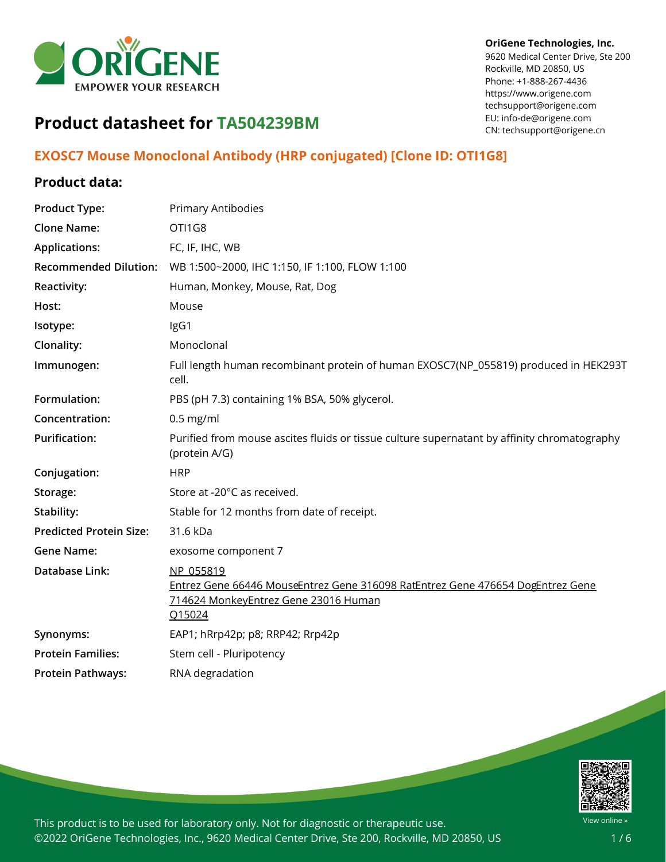

#### **OriGene Technologies, Inc.**

9620 Medical Center Drive, Ste 200 Rockville, MD 20850, US Phone: +1-888-267-4436 https://www.origene.com techsupport@origene.com EU: info-de@origene.com CN: techsupport@origene.cn

# **Product datasheet for TA504239BM**

# **EXOSC7 Mouse Monoclonal Antibody (HRP conjugated) [Clone ID: OTI1G8]**

### **Product data:**

| <b>Product Type:</b>           | Primary Antibodies                                                                                                                            |
|--------------------------------|-----------------------------------------------------------------------------------------------------------------------------------------------|
| <b>Clone Name:</b>             | OTI1G8                                                                                                                                        |
| <b>Applications:</b>           | FC, IF, IHC, WB                                                                                                                               |
| <b>Recommended Dilution:</b>   | WB 1:500~2000, IHC 1:150, IF 1:100, FLOW 1:100                                                                                                |
| Reactivity:                    | Human, Monkey, Mouse, Rat, Dog                                                                                                                |
| Host:                          | Mouse                                                                                                                                         |
| Isotype:                       | IgG1                                                                                                                                          |
| <b>Clonality:</b>              | Monoclonal                                                                                                                                    |
| Immunogen:                     | Full length human recombinant protein of human EXOSC7(NP_055819) produced in HEK293T<br>cell.                                                 |
| Formulation:                   | PBS (pH 7.3) containing 1% BSA, 50% glycerol.                                                                                                 |
| Concentration:                 | $0.5$ mg/ml                                                                                                                                   |
| <b>Purification:</b>           | Purified from mouse ascites fluids or tissue culture supernatant by affinity chromatography<br>(protein A/G)                                  |
| Conjugation:                   | <b>HRP</b>                                                                                                                                    |
| Storage:                       | Store at -20°C as received.                                                                                                                   |
| Stability:                     | Stable for 12 months from date of receipt.                                                                                                    |
| <b>Predicted Protein Size:</b> | 31.6 kDa                                                                                                                                      |
| <b>Gene Name:</b>              | exosome component 7                                                                                                                           |
| Database Link:                 | NP 055819<br>Entrez Gene 66446 MouseEntrez Gene 316098 RatEntrez Gene 476654 DogEntrez Gene<br>714624 MonkeyEntrez Gene 23016 Human<br>Q15024 |
| Synonyms:                      | EAP1; hRrp42p; p8; RRP42; Rrp42p                                                                                                              |
| <b>Protein Families:</b>       | Stem cell - Pluripotency                                                                                                                      |
| <b>Protein Pathways:</b>       | RNA degradation                                                                                                                               |

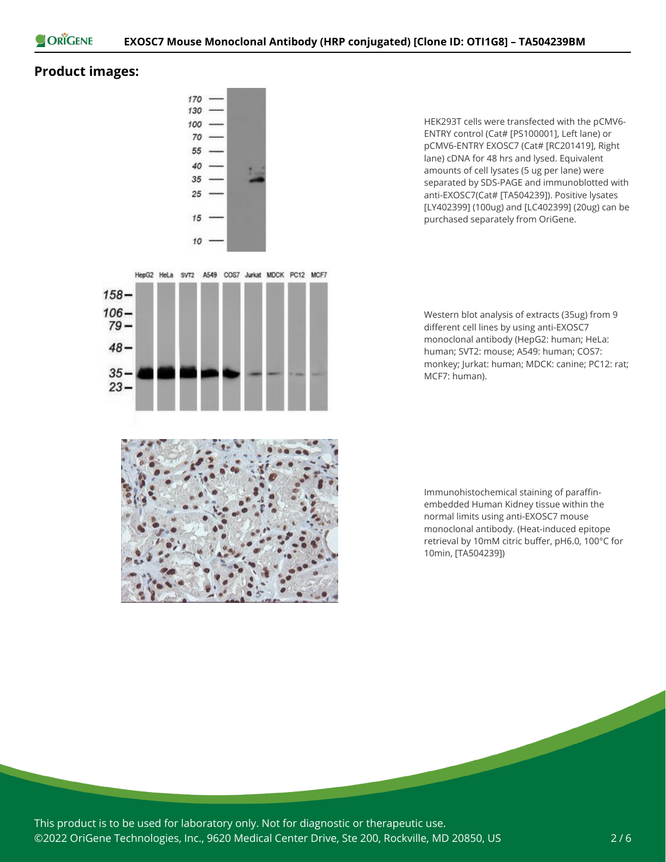

## **Product images:**

 $158 106 79 48 -$ 

> $35 23 -$



HepG2 HeLa svT2 A549 COS7 Jurkat MDCK PC12 MCF7

HEK293T cells were transfected with the pCMV6- ENTRY control (Cat# [PS100001], Left lane) or pCMV6-ENTRY EXOSC7 (Cat# [RC201419], Right lane) cDNA for 48 hrs and lysed. Equivalent amounts of cell lysates (5 ug per lane) were separated by SDS-PAGE and immunoblotted with anti-EXOSC7(Cat# [TA504239]). Positive lysates [LY402399] (100ug) and [LC402399] (20ug) can be purchased separately from OriGene.

Western blot analysis of extracts (35ug) from 9 different cell lines by using anti-EXOSC7 monoclonal antibody (HepG2: human; HeLa: human; SVT2: mouse; A549: human; COS7: monkey; Jurkat: human; MDCK: canine; PC12: rat; MCF7: human).



Immunohistochemical staining of paraffinembedded Human Kidney tissue within the normal limits using anti-EXOSC7 mouse monoclonal antibody. (Heat-induced epitope retrieval by 10mM citric buffer, pH6.0, 100°C for 10min, [TA504239])

This product is to be used for laboratory only. Not for diagnostic or therapeutic use. ©2022 OriGene Technologies, Inc., 9620 Medical Center Drive, Ste 200, Rockville, MD 20850, US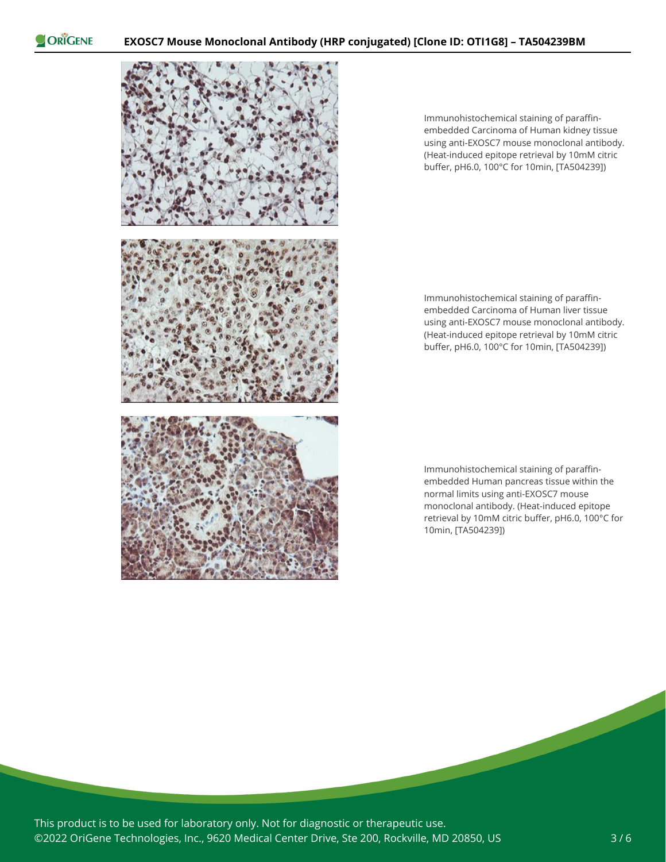ORIGENE



Immunohistochemical staining of paraffinembedded Carcinoma of Human kidney tissue using anti-EXOSC7 mouse monoclonal antibody. (Heat-induced epitope retrieval by 10mM citric buffer, pH6.0, 100°C for 10min, [TA504239])

Immunohistochemical staining of paraffinembedded Carcinoma of Human liver tissue using anti-EXOSC7 mouse monoclonal antibody. (Heat-induced epitope retrieval by 10mM citric buffer, pH6.0, 100°C for 10min, [TA504239])

Immunohistochemical staining of paraffinembedded Human pancreas tissue within the normal limits using anti-EXOSC7 mouse monoclonal antibody. (Heat-induced epitope retrieval by 10mM citric buffer, pH6.0, 100°C for 10min, [TA504239])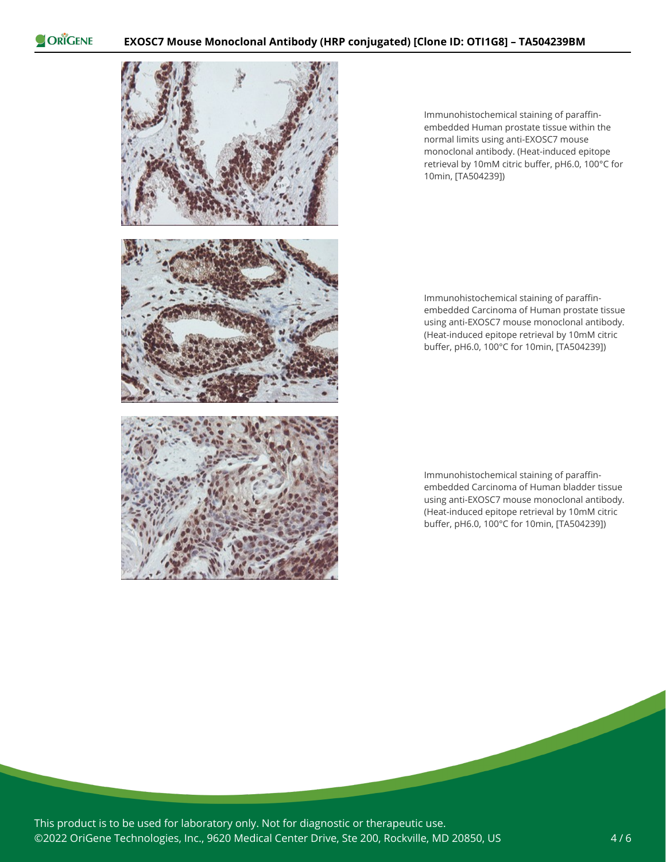ORIGENE



Immunohistochemical staining of paraffinembedded Human prostate tissue within the normal limits using anti-EXOSC7 mouse monoclonal antibody. (Heat-induced epitope retrieval by 10mM citric buffer, pH6.0, 100°C for 10min, [TA504239])

Immunohistochemical staining of paraffinembedded Carcinoma of Human prostate tissue using anti-EXOSC7 mouse monoclonal antibody. (Heat-induced epitope retrieval by 10mM citric buffer, pH6.0, 100°C for 10min, [TA504239])

Immunohistochemical staining of paraffinembedded Carcinoma of Human bladder tissue using anti-EXOSC7 mouse monoclonal antibody. (Heat-induced epitope retrieval by 10mM citric buffer, pH6.0, 100°C for 10min, [TA504239])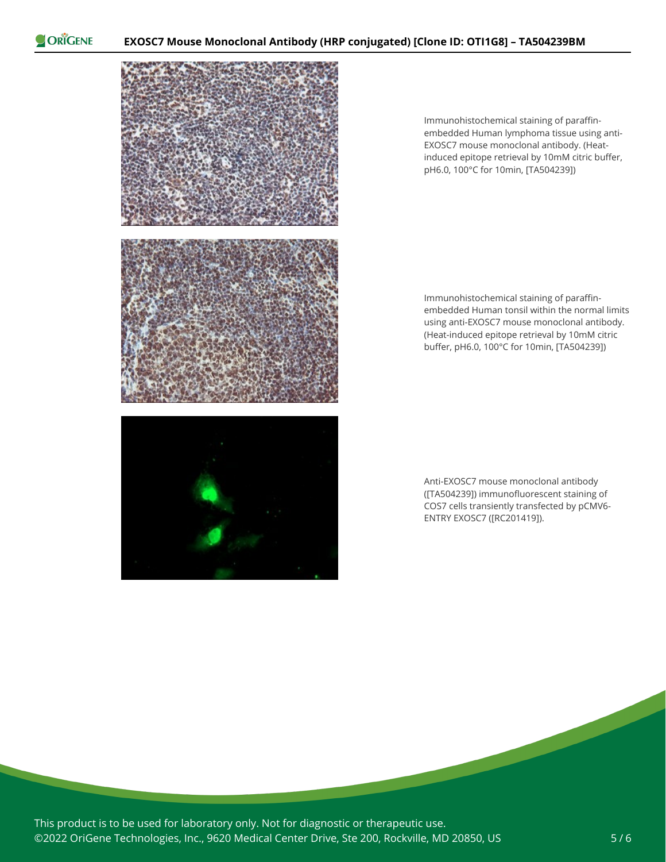ORIGENE



Immunohistochemical staining of paraffinembedded Human lymphoma tissue using anti-EXOSC7 mouse monoclonal antibody. (Heatinduced epitope retrieval by 10mM citric buffer, pH6.0, 100°C for 10min, [TA504239])

Immunohistochemical staining of paraffinembedded Human tonsil within the normal limits using anti-EXOSC7 mouse monoclonal antibody. (Heat-induced epitope retrieval by 10mM citric buffer, pH6.0, 100°C for 10min, [TA504239])

Anti-EXOSC7 mouse monoclonal antibody ([TA504239]) immunofluorescent staining of COS7 cells transiently transfected by pCMV6- ENTRY EXOSC7 ([RC201419]).